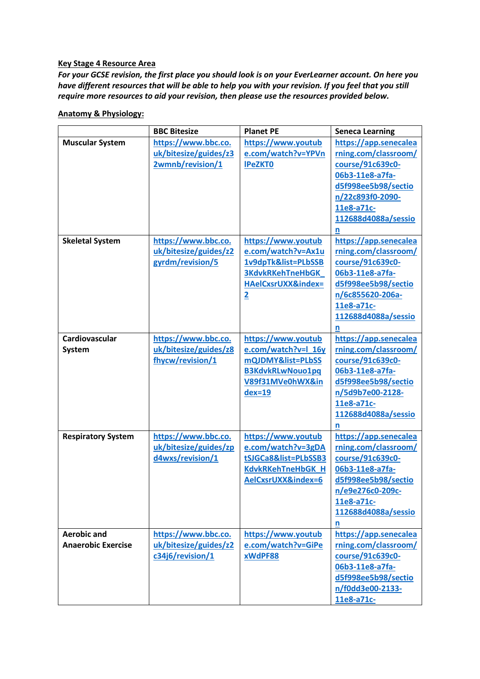#### **Key Stage 4 Resource Area**

*For your GCSE revision, the first place you should look is on your EverLearner account. On here you have different resources that will be able to help you with your revision. If you feel that you still require more resources to aid your revision, then please use the resources provided below.*

|                                                 | <b>BBC Bitesize</b>                                              | <b>Planet PE</b>                                                                                                                   | <b>Seneca Learning</b>                                                                                                                                                    |
|-------------------------------------------------|------------------------------------------------------------------|------------------------------------------------------------------------------------------------------------------------------------|---------------------------------------------------------------------------------------------------------------------------------------------------------------------------|
| <b>Muscular System</b>                          | https://www.bbc.co.<br>uk/bitesize/guides/z3<br>2wmnb/revision/1 | https://www.youtub<br>e.com/watch?v=YPVn<br><b>IPeZKTO</b>                                                                         | https://app.senecalea<br>rning.com/classroom/<br>course/91c639c0-<br>06b3-11e8-a7fa-<br>d5f998ee5b98/sectio<br>n/22c893f0-2090-<br>11e8-a71c-<br>112688d4088a/sessio<br>n |
| <b>Skeletal System</b>                          | https://www.bbc.co.<br>uk/bitesize/guides/z2<br>gyrdm/revision/5 | https://www.youtub<br>e.com/watch?v=Ax1u<br>1v9dpTk&list=PLbSSB<br><b>3KdvkRKehTneHbGK</b><br>HAelCxsrUXX&index=<br>$\overline{2}$ | https://app.senecalea<br>rning.com/classroom/<br>course/91c639c0-<br>06b3-11e8-a7fa-<br>d5f998ee5b98/sectio<br>n/6c855620-206a-<br>11e8-a71c-<br>112688d4088a/sessio<br>n |
| Cardiovascular<br>System                        | https://www.bbc.co.<br>uk/bitesize/guides/z8<br>fhycw/revision/1 | https://www.youtub<br>e.com/watch?v=l_16y<br>mQJDMY&list=PLbSS<br>B3KdvkRLwNouo1pq<br>V89f31MVe0hWX∈<br>$dex=19$                   | https://app.senecalea<br>rning.com/classroom/<br>course/91c639c0-<br>06b3-11e8-a7fa-<br>d5f998ee5b98/sectio<br>n/5d9b7e00-2128-<br>11e8-a71c-<br>112688d4088a/sessio<br>n |
| <b>Respiratory System</b>                       | https://www.bbc.co.<br>uk/bitesize/guides/zp<br>d4wxs/revision/1 | https://www.youtub<br>e.com/watch?v=3gDA<br>tSJGCa8&list=PLbSSB3<br><b>KdvkRKehTneHbGK H</b><br>AelCxsrUXX&index=6                 | https://app.senecalea<br>rning.com/classroom/<br>course/91c639c0-<br>06b3-11e8-a7fa-<br>d5f998ee5b98/sectio<br>n/e9e276c0-209c-<br>11e8-a71c-<br>112688d4088a/sessio      |
| <b>Aerobic and</b><br><b>Anaerobic Exercise</b> | https://www.bbc.co.<br>uk/bitesize/guides/z2<br>c34j6/revision/1 | https://www.youtub<br>e.com/watch?v=GiPe<br>xWdPF88                                                                                | https://app.senecalea<br>rning.com/classroom/<br>course/91c639c0-<br>06b3-11e8-a7fa-<br>d5f998ee5b98/sectio<br>n/f0dd3e00-2133-                                           |

**[11e8-a71c-](https://app.senecalearning.com/classroom/course/91c639c0-06b3-11e8-a7fa-d5f998ee5b98/section/f0dd3e00-2133-11e8-a71c-112688d4088a/session)**

### **Anatomy & Physiology:**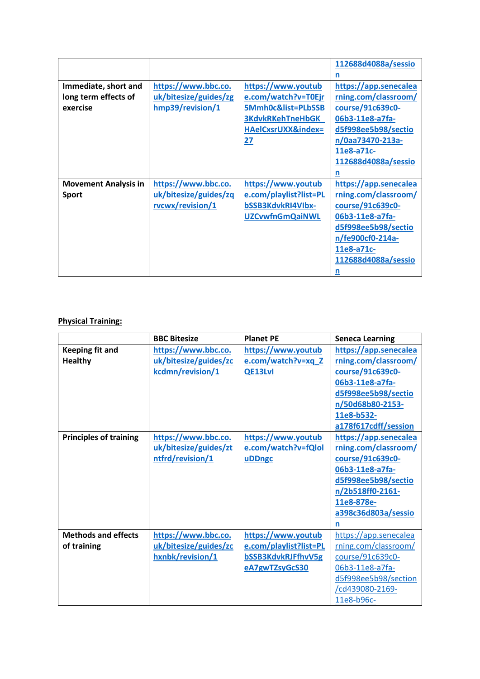|                             |                       |                         | 112688d4088a/sessio   |
|-----------------------------|-----------------------|-------------------------|-----------------------|
|                             |                       |                         | n                     |
| Immediate, short and        | https://www.bbc.co.   | https://www.youtub      | https://app.senecalea |
| long term effects of        | uk/bitesize/guides/zg | e.com/watch?v=T0Ejr     | rning.com/classroom/  |
| exercise                    | hmp39/revision/1      | 5Mmh0c&list=PLbSSB      | course/91c639c0-      |
|                             |                       | <b>3KdvkRKehTneHbGK</b> | 06b3-11e8-a7fa-       |
|                             |                       | HAelCxsrUXX&index=      | d5f998ee5b98/sectio   |
|                             |                       | 27                      | n/0aa73470-213a-      |
|                             |                       |                         | 11e8-a71c-            |
|                             |                       |                         | 112688d4088a/sessio   |
|                             |                       |                         | n                     |
| <b>Movement Analysis in</b> | https://www.bbc.co.   | https://www.youtub      | https://app.senecalea |
| <b>Sport</b>                | uk/bitesize/guides/zq | e.com/playlist?list=PL  | rning.com/classroom/  |
|                             |                       |                         |                       |
|                             | rvcwx/revision/1      | bSSB3KdvkRI4VIbx-       | course/91c639c0-      |
|                             |                       | <b>UZCvwfnGmQaiNWL</b>  | 06b3-11e8-a7fa-       |
|                             |                       |                         | d5f998ee5b98/sectio   |
|                             |                       |                         | n/fe900cf0-214a-      |
|                             |                       |                         | 11e8-a71c-            |
|                             |                       |                         | 112688d4088a/sessio   |

# **Physical Training:**

|                                           | <b>BBC Bitesize</b>                                              | <b>Planet PE</b>                                                                     | <b>Seneca Learning</b>                                                                                                                                                    |
|-------------------------------------------|------------------------------------------------------------------|--------------------------------------------------------------------------------------|---------------------------------------------------------------------------------------------------------------------------------------------------------------------------|
| Keeping fit and<br><b>Healthy</b>         | https://www.bbc.co.<br>uk/bitesize/guides/zc<br>kcdmn/revision/1 | https://www.youtub<br>e.com/watch?v=xq_Z<br><b>QE13Lvl</b>                           | https://app.senecalea<br>rning.com/classroom/<br>course/91c639c0-<br>06b3-11e8-a7fa-                                                                                      |
|                                           |                                                                  |                                                                                      | d5f998ee5b98/sectio<br>n/50d68b80-2153-<br>11e8-b532-<br>a178f617cdff/session                                                                                             |
| <b>Principles of training</b>             | https://www.bbc.co.<br>uk/bitesize/guides/zt<br>ntfrd/revision/1 | https://www.youtub<br>e.com/watch?v=fQlol<br>uDDngc                                  | https://app.senecalea<br>rning.com/classroom/<br>course/91c639c0-<br>06b3-11e8-a7fa-<br>d5f998ee5b98/sectio<br>n/2b518ff0-2161-<br>11e8-878e-<br>a398c36d803a/sessio<br>n |
| <b>Methods and effects</b><br>of training | https://www.bbc.co.<br>uk/bitesize/guides/zc<br>hxnbk/revision/1 | https://www.youtub<br>e.com/playlist?list=PL<br>bSSB3KdvkRJFfhvV5g<br>eA7gwTZsyGcS30 | https://app.senecalea<br>rning.com/classroom/<br>course/91c639c0-<br>06b3-11e8-a7fa-<br>d5f998ee5b98/section<br>cd439080-2169-<br>11e8-b96c-                              |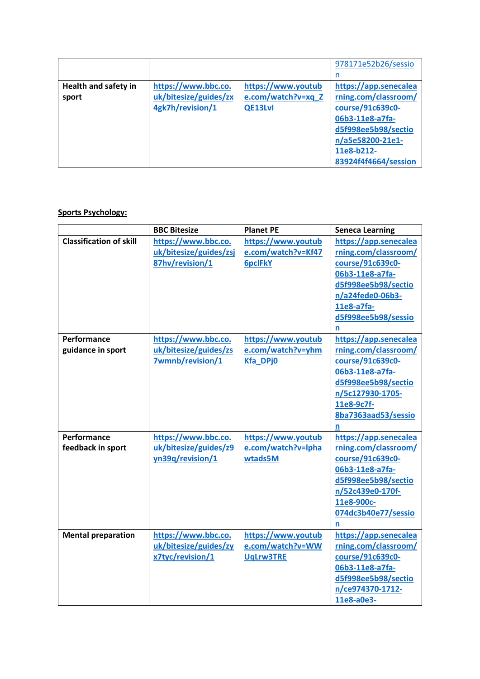|                             |                       |                    | 978171e52b26/sessio   |
|-----------------------------|-----------------------|--------------------|-----------------------|
|                             |                       |                    |                       |
| <b>Health and safety in</b> | https://www.bbc.co.   | https://www.youtub | https://app.senecalea |
| sport                       | uk/bitesize/guides/zx | e.com/watch?v=xq_Z | rning.com/classroom/  |
|                             | 4gk7h/revision/1      | QE13Lvl            | course/91c639c0-      |
|                             |                       |                    | 06b3-11e8-a7fa-       |
|                             |                       |                    | d5f998ee5b98/sectio   |
|                             |                       |                    | n/a5e58200-21e1-      |
|                             |                       |                    | 11e8-b212-            |
|                             |                       |                    | 83924f4f4664/session  |

# **Sports Psychology:**

|                                  | <b>BBC Bitesize</b>                                              | <b>Planet PE</b>                                           | <b>Seneca Learning</b>                                                                                                                                                    |
|----------------------------------|------------------------------------------------------------------|------------------------------------------------------------|---------------------------------------------------------------------------------------------------------------------------------------------------------------------------|
| <b>Classification of skill</b>   | https://www.bbc.co.<br>uk/bitesize/guides/zsj<br>87hv/revision/1 | https://www.youtub<br>e.com/watch?v=Kf47<br><b>6pclFkY</b> | https://app.senecalea<br>rning.com/classroom/<br>course/91c639c0-<br>06b3-11e8-a7fa-<br>d5f998ee5b98/sectio<br>n/a24fede0-06b3-<br>11e8-a7fa-<br>d5f998ee5b98/sessio<br>n |
| Performance<br>guidance in sport | https://www.bbc.co.<br>uk/bitesize/guides/zs<br>7wmnb/revision/1 | https://www.youtub<br>e.com/watch?v=yhm<br><b>Kfa DPj0</b> | https://app.senecalea<br>rning.com/classroom/<br>course/91c639c0-<br>06b3-11e8-a7fa-<br>d5f998ee5b98/sectio<br>n/5c127930-1705-<br>11e8-9c7f-<br>8ba7363aad53/sessio<br>n |
| Performance<br>feedback in sport | https://www.bbc.co.<br>uk/bitesize/guides/z9<br>yn39q/revision/1 | https://www.youtub<br>e.com/watch?v=lpha<br>wtads5M        | https://app.senecalea<br>rning.com/classroom/<br>course/91c639c0-<br>06b3-11e8-a7fa-<br>d5f998ee5b98/sectio<br>n/52c439e0-170f-<br>11e8-900c-<br>074dc3b40e77/sessio<br>n |
| <b>Mental preparation</b>        | https://www.bbc.co.<br>uk/bitesize/guides/zy<br>x7tyc/revision/1 | https://www.youtub<br>e.com/watch?v=WW<br><b>UqLrw3TRE</b> | https://app.senecalea<br>rning.com/classroom/<br>course/91c639c0-<br>06b3-11e8-a7fa-<br>d5f998ee5b98/sectio<br>n/ce974370-1712-<br>11e8-a0e3-                             |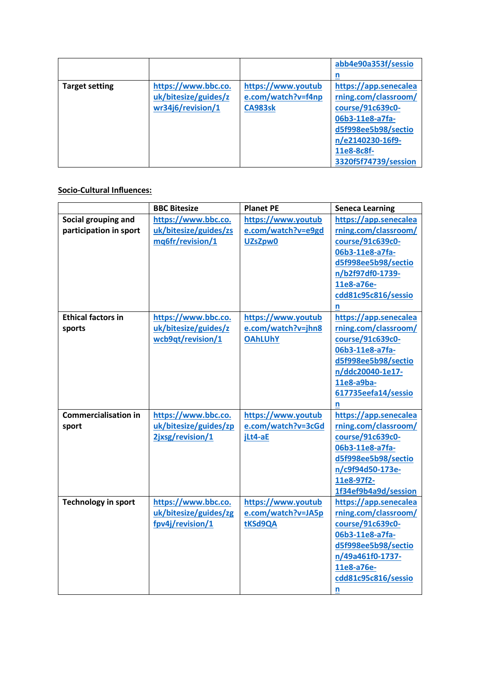|                       |                      |                    | abb4e90a353f/sessio   |
|-----------------------|----------------------|--------------------|-----------------------|
|                       |                      |                    | n                     |
| <b>Target setting</b> | https://www.bbc.co.  | https://www.youtub | https://app.senecalea |
|                       | uk/bitesize/guides/z | e.com/watch?v=f4np | rning.com/classroom/  |
|                       | wr34j6/revision/1    | <b>CA983sk</b>     | course/91c639c0-      |
|                       |                      |                    | 06b3-11e8-a7fa-       |
|                       |                      |                    | d5f998ee5b98/sectio   |
|                       |                      |                    | n/e2140230-16f9-      |
|                       |                      |                    | 11e8-8c8f-            |
|                       |                      |                    | 3320f5f74739/session  |

## **Socio-Cultural Influences:**

|                                               | <b>BBC Bitesize</b>                                              | <b>Planet PE</b>                                           | <b>Seneca Learning</b>                                                                                                                                                    |
|-----------------------------------------------|------------------------------------------------------------------|------------------------------------------------------------|---------------------------------------------------------------------------------------------------------------------------------------------------------------------------|
| Social grouping and<br>participation in sport | https://www.bbc.co.<br>uk/bitesize/guides/zs<br>mq6fr/revision/1 | https://www.youtub<br>e.com/watch?v=e9gd<br>UZsZpw0        | https://app.senecalea<br>rning.com/classroom/<br>course/91c639c0-<br>06b3-11e8-a7fa-<br>d5f998ee5b98/sectio<br>n/b2f97df0-1739-<br>11e8-a76e-                             |
|                                               |                                                                  |                                                            | cdd81c95c816/sessio<br>n                                                                                                                                                  |
| <b>Ethical factors in</b><br>sports           | https://www.bbc.co.<br>uk/bitesize/guides/z<br>wcb9qt/revision/1 | https://www.youtub<br>e.com/watch?v=jhn8<br><b>OAhLUhY</b> | https://app.senecalea<br>rning.com/classroom/<br>course/91c639c0-<br>06b3-11e8-a7fa-<br>d5f998ee5b98/sectio<br>n/ddc20040-1e17-<br>11e8-a9ba-<br>617735eefa14/sessio<br>n |
| <b>Commercialisation in</b><br>sport          | https://www.bbc.co.<br>uk/bitesize/guides/zp<br>2jxsg/revision/1 | https://www.youtub<br>e.com/watch?v=3cGd<br>jLt4-aE        | https://app.senecalea<br>rning.com/classroom/<br>course/91c639c0-<br>06b3-11e8-a7fa-<br>d5f998ee5b98/sectio<br>n/c9f94d50-173e-<br>11e8-97f2-<br>1f34ef9b4a9d/session     |
| <b>Technology in sport</b>                    | https://www.bbc.co.<br>uk/bitesize/guides/zg<br>fpv4j/revision/1 | https://www.youtub<br>e.com/watch?v=JA5p<br>tKSd9QA        | https://app.senecalea<br>rning.com/classroom/<br>course/91c639c0-<br>06b3-11e8-a7fa-<br>d5f998ee5b98/sectio<br>n/49a461f0-1737-<br>11e8-a76e-<br>cdd81c95c816/sessio<br>n |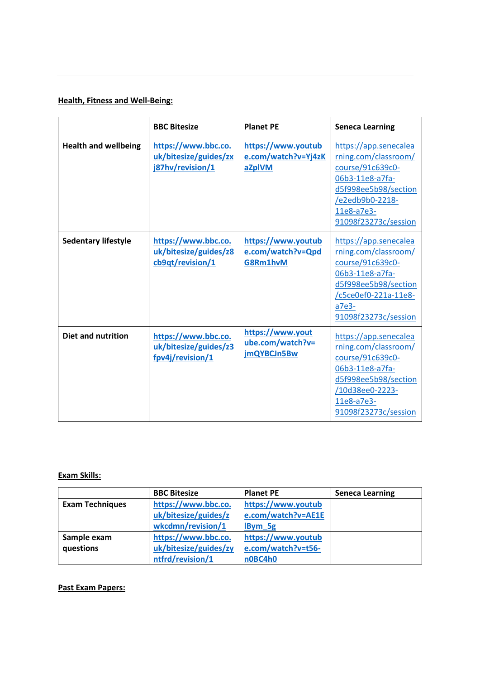# **Health, Fitness and Well-Being:**

|                             | <b>BBC Bitesize</b>                                              | <b>Planet PE</b>                                    | <b>Seneca Learning</b>                                                                                                                                                  |
|-----------------------------|------------------------------------------------------------------|-----------------------------------------------------|-------------------------------------------------------------------------------------------------------------------------------------------------------------------------|
| <b>Health and wellbeing</b> | https://www.bbc.co.<br>uk/bitesize/guides/zx<br>j87hv/revision/1 | https://www.youtub<br>e.com/watch?v=Yj4zK<br>aZplVM | https://app.senecalea<br>rning.com/classroom/<br>course/91c639c0-<br>06b3-11e8-a7fa-<br>d5f998ee5b98/section<br>/e2edb9b0-2218-<br>11e8-a7e3-<br>91098f23273c/session   |
| <b>Sedentary lifestyle</b>  | https://www.bbc.co.<br>uk/bitesize/guides/z8<br>cb9qt/revision/1 | https://www.youtub<br>e.com/watch?v=Qpd<br>G8Rm1hvM | https://app.senecalea<br>rning.com/classroom/<br>course/91c639c0-<br>06b3-11e8-a7fa-<br>d5f998ee5b98/section<br>/c5ce0ef0-221a-11e8-<br>$a7e3-$<br>91098f23273c/session |
| <b>Diet and nutrition</b>   | https://www.bbc.co.<br>uk/bitesize/guides/z3<br>fpv4j/revision/1 | https://www.yout<br>ube.com/watch?v=<br>jmQYBCJn5Bw | https://app.senecalea<br>rning.com/classroom/<br>course/91c639c0-<br>06b3-11e8-a7fa-<br>d5f998ee5b98/section<br>/10d38ee0-2223-<br>11e8-a7e3-<br>91098f23273c/session   |

# **Exam Skills:**

|                        | <b>BBC Bitesize</b>   | <b>Planet PE</b>   | <b>Seneca Learning</b> |
|------------------------|-----------------------|--------------------|------------------------|
| <b>Exam Techniques</b> | https://www.bbc.co.   | https://www.youtub |                        |
|                        | uk/bitesize/guides/z  | e.com/watch?v=AE1E |                        |
|                        | wkcdmn/revision/1     | IBym_5g            |                        |
| Sample exam            | https://www.bbc.co.   | https://www.youtub |                        |
| questions              | uk/bitesize/guides/zy | e.com/watch?v=t56- |                        |
|                        | ntfrd/revision/1      | n0BC4h0            |                        |

### **Past Exam Papers:**